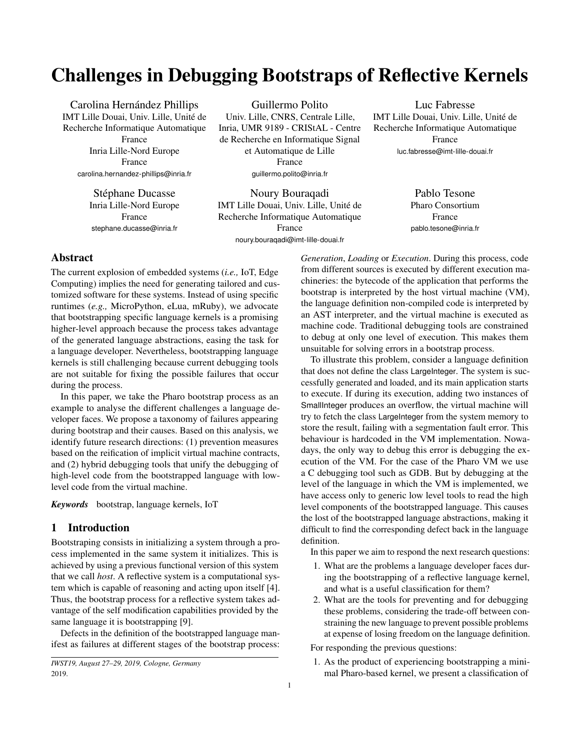# Challenges in Debugging Bootstraps of Reflective Kernels

Carolina Hernández Phillips IMT Lille Douai, Univ. Lille, Unité de Recherche Informatique Automatique France Inria Lille-Nord Europe France carolina.hernandez-phillips@inria.fr

> Stéphane Ducasse Inria Lille-Nord Europe France stephane.ducasse@inria.fr

Guillermo Polito Univ. Lille, CNRS, Centrale Lille, Inria, UMR 9189 - CRIStAL - Centre de Recherche en Informatique Signal et Automatique de Lille France guillermo.polito@inria.fr

Noury Bouraqadi IMT Lille Douai, Univ. Lille, Unité de Recherche Informatique Automatique France noury.bouraqadi@imt-lille-douai.fr

Luc Fabresse IMT Lille Douai, Univ. Lille, Unité de Recherche Informatique Automatique France luc.fabresse@imt-lille-douai.fr

> Pablo Tesone Pharo Consortium France pablo.tesone@inria.fr

# Abstract

The current explosion of embedded systems (*i.e.,* IoT, Edge Computing) implies the need for generating tailored and customized software for these systems. Instead of using specific runtimes (*e.g.,* MicroPython, eLua, mRuby), we advocate that bootstrapping specific language kernels is a promising higher-level approach because the process takes advantage of the generated language abstractions, easing the task for a language developer. Nevertheless, bootstrapping language kernels is still challenging because current debugging tools are not suitable for fixing the possible failures that occur during the process.

In this paper, we take the Pharo bootstrap process as an example to analyse the different challenges a language developer faces. We propose a taxonomy of failures appearing during bootstrap and their causes. Based on this analysis, we identify future research directions: (1) prevention measures based on the reification of implicit virtual machine contracts, and (2) hybrid debugging tools that unify the debugging of high-level code from the bootstrapped language with lowlevel code from the virtual machine.

*Keywords* bootstrap, language kernels, IoT

# <span id="page-0-0"></span>1 Introduction

Bootstraping consists in initializing a system through a process implemented in the same system it initializes. This is achieved by using a previous functional version of this system that we call *host*. A reflective system is a computational system which is capable of reasoning and acting upon itself [\[4\]](#page-9-0). Thus, the bootstrap process for a reflective system takes advantage of the self modification capabilities provided by the same language it is bootstrapping [\[9\]](#page-9-1).

Defects in the definition of the bootstrapped language manifest as failures at different stages of the bootstrap process: *Generation*, *Loading* or *Execution*. During this process, code from different sources is executed by different execution machineries: the bytecode of the application that performs the bootstrap is interpreted by the host virtual machine (VM), the language definition non-compiled code is interpreted by an AST interpreter, and the virtual machine is executed as machine code. Traditional debugging tools are constrained to debug at only one level of execution. This makes them unsuitable for solving errors in a bootstrap process.

To illustrate this problem, consider a language definition that does not define the class LargeInteger. The system is successfully generated and loaded, and its main application starts to execute. If during its execution, adding two instances of SmallInteger produces an overflow, the virtual machine will try to fetch the class LargeInteger from the system memory to store the result, failing with a segmentation fault error. This behaviour is hardcoded in the VM implementation. Nowadays, the only way to debug this error is debugging the execution of the VM. For the case of the Pharo VM we use a C debugging tool such as GDB. But by debugging at the level of the language in which the VM is implemented, we have access only to generic low level tools to read the high level components of the bootstrapped language. This causes the lost of the bootstrapped language abstractions, making it difficult to find the corresponding defect back in the language definition.

In this paper we aim to respond the next research questions:

- 1. What are the problems a language developer faces during the bootstrapping of a reflective language kernel, and what is a useful classification for them?
- 2. What are the tools for preventing and for debugging these problems, considering the trade-off between constraining the new language to prevent possible problems at expense of losing freedom on the language definition.

For responding the previous questions:

1. As the product of experiencing bootstrapping a minimal Pharo-based kernel, we present a classification of

*IWST19, August 27–29, 2019, Cologne, Germany* 2019.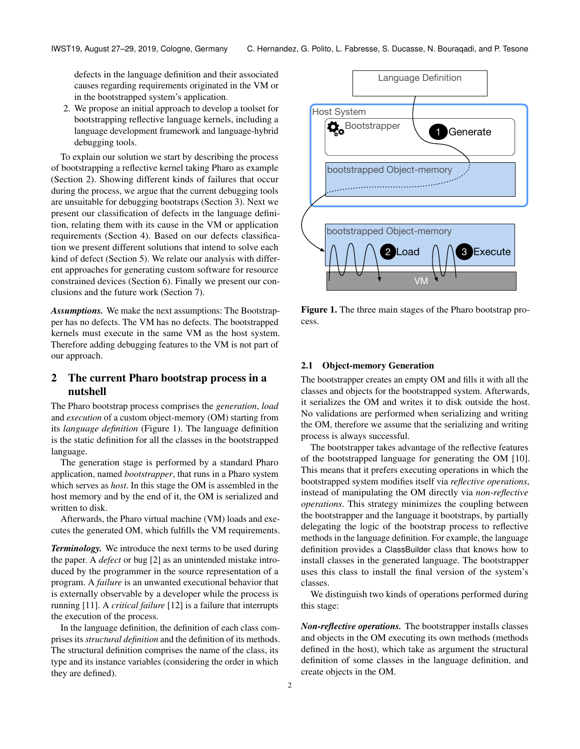defects in the language definition and their associated causes regarding requirements originated in the VM or in the bootstrapped system's application.

2. We propose an initial approach to develop a toolset for bootstrapping reflective language kernels, including a language development framework and language-hybrid debugging tools.

To explain our solution we start by describing the process of bootstrapping a reflective kernel taking Pharo as example (Section [2\)](#page-1-0). Showing different kinds of failures that occur during the process, we argue that the current debugging tools are unsuitable for debugging bootstraps (Section [3\)](#page-3-0). Next we present our classification of defects in the language definition, relating them with its cause in the VM or application requirements (Section [4\)](#page-5-0). Based on our defects classification we present different solutions that intend to solve each kind of defect (Section [5\)](#page-6-0). We relate our analysis with different approaches for generating custom software for resource constrained devices (Section [6\)](#page-7-0). Finally we present our conclusions and the future work (Section [7\)](#page-8-0).

*Assumptions.* We make the next assumptions: The Bootstrapper has no defects. The VM has no defects. The bootstrapped kernels must execute in the same VM as the host system. Therefore adding debugging features to the VM is not part of our approach.

# <span id="page-1-0"></span>2 The current Pharo bootstrap process in a nutshell

The Pharo bootstrap process comprises the *generation*, *load* and *execution* of a custom object-memory (OM) starting from its *language definition* (Figure [1\)](#page-1-1). The language definition is the static definition for all the classes in the bootstrapped language.

The generation stage is performed by a standard Pharo application, named *bootstrapper*, that runs in a Pharo system which serves as *host*. In this stage the OM is assembled in the host memory and by the end of it, the OM is serialized and written to disk.

Afterwards, the Pharo virtual machine (VM) loads and executes the generated OM, which fulfills the VM requirements.

*Terminology.* We introduce the next terms to be used during the paper. A *defect* or bug [\[2\]](#page-9-2) as an unintended mistake introduced by the programmer in the source representation of a program. A *failure* is an unwanted executional behavior that is externally observable by a developer while the process is running [\[11\]](#page-9-3). A *critical failure* [\[12\]](#page-9-4) is a failure that interrupts the execution of the process.

In the language definition, the definition of each class comprises its *structural definition* and the definition of its methods. The structural definition comprises the name of the class, its type and its instance variables (considering the order in which they are defined).

<span id="page-1-1"></span>

Figure 1. The three main stages of the Pharo bootstrap process.

## 2.1 Object-memory Generation

The bootstrapper creates an empty OM and fills it with all the classes and objects for the bootstrapped system. Afterwards, it serializes the OM and writes it to disk outside the host. No validations are performed when serializing and writing the OM, therefore we assume that the serializing and writing process is always successful.

The bootstrapper takes advantage of the reflective features of the bootstrapped language for generating the OM [\[10\]](#page-9-5). This means that it prefers executing operations in which the bootstrapped system modifies itself via *reflective operations*, instead of manipulating the OM directly via *non-reflective operations*. This strategy minimizes the coupling between the bootstrapper and the language it bootstraps, by partially delegating the logic of the bootstrap process to reflective methods in the language definition. For example, the language definition provides a ClassBuilder class that knows how to install classes in the generated language. The bootstrapper uses this class to install the final version of the system's classes.

We distinguish two kinds of operations performed during this stage:

*Non-reflective operations.* The bootstrapper installs classes and objects in the OM executing its own methods (methods defined in the host), which take as argument the structural definition of some classes in the language definition, and create objects in the OM.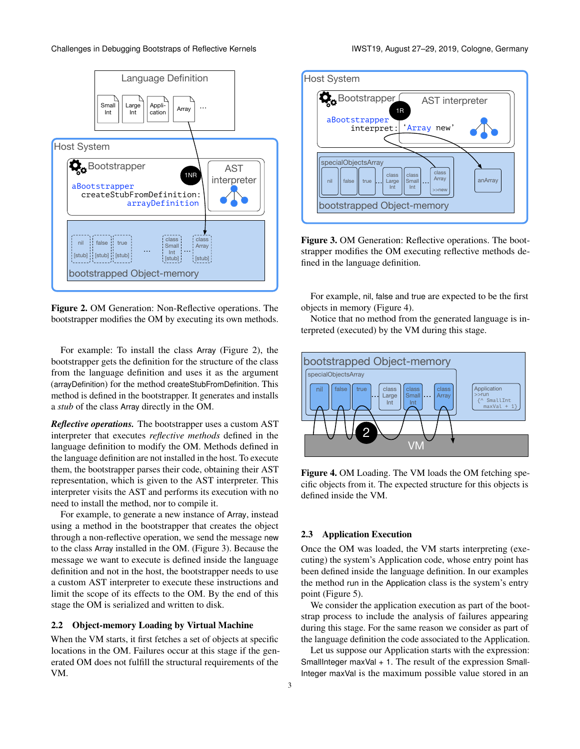<span id="page-2-0"></span>

Figure 2. OM Generation: Non-Reflective operations. The bootstrapper modifies the OM by executing its own methods.

For example: To install the class Array (Figure [2\)](#page-2-0), the bootstrapper gets the definition for the structure of the class from the language definition and uses it as the argument (arrayDefinition) for the method createStubFromDefinition. This method is defined in the bootstrapper. It generates and installs a *stub* of the class Array directly in the OM.

*Reflective operations.* The bootstrapper uses a custom AST interpreter that executes *reflective methods* defined in the language definition to modify the OM. Methods defined in the language definition are not installed in the host. To execute them, the bootstrapper parses their code, obtaining their AST representation, which is given to the AST interpreter. This interpreter visits the AST and performs its execution with no need to install the method, nor to compile it.

For example, to generate a new instance of Array, instead using a method in the bootstrapper that creates the object through a non-reflective operation, we send the message new to the class Array installed in the OM. (Figure [3\)](#page-2-1). Because the message we want to execute is defined inside the language definition and not in the host, the bootstrapper needs to use a custom AST interpreter to execute these instructions and limit the scope of its effects to the OM. By the end of this stage the OM is serialized and written to disk.

## 2.2 Object-memory Loading by Virtual Machine

When the VM starts, it first fetches a set of objects at specific locations in the OM. Failures occur at this stage if the generated OM does not fulfill the structural requirements of the VM.

<span id="page-2-1"></span>

Figure 3. OM Generation: Reflective operations. The bootstrapper modifies the OM executing reflective methods defined in the language definition.

For example, nil, false and true are expected to be the first objects in memory (Figure [4\)](#page-2-2).

Notice that no method from the generated language is interpreted (executed) by the VM during this stage.

<span id="page-2-2"></span>

Figure 4. OM Loading. The VM loads the OM fetching specific objects from it. The expected structure for this objects is defined inside the VM.

## 2.3 Application Execution

Once the OM was loaded, the VM starts interpreting (executing) the system's Application code, whose entry point has been defined inside the language definition. In our examples the method run in the Application class is the system's entry point (Figure [5\)](#page-3-1).

We consider the application execution as part of the bootstrap process to include the analysis of failures appearing during this stage. For the same reason we consider as part of the language definition the code associated to the Application.

Let us suppose our Application starts with the expression: SmallInteger maxVal  $+1$ . The result of the expression Small-Integer maxVal is the maximum possible value stored in an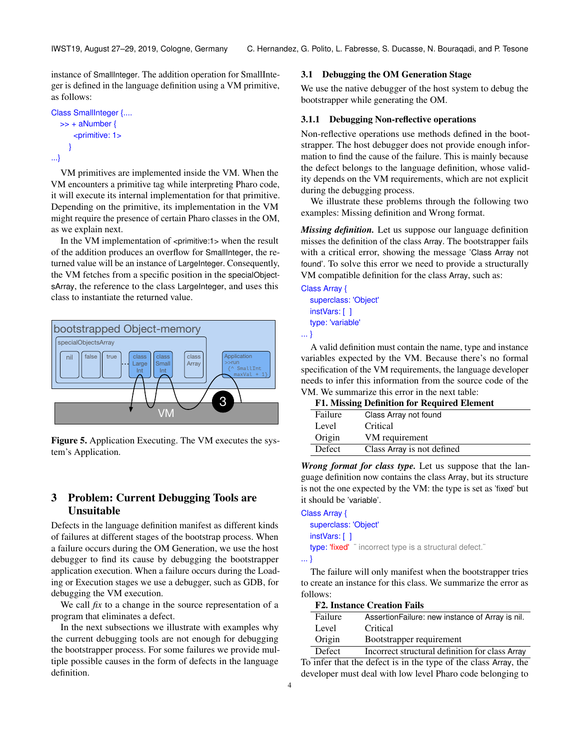instance of SmallInteger. The addition operation for SmallInteger is defined in the language definition using a VM primitive, as follows:

```
Class SmallInteger {....
  >> + aNumber {
      <primitive: 1>
     }
...}
```
VM primitives are implemented inside the VM. When the VM encounters a primitive tag while interpreting Pharo code, it will execute its internal implementation for that primitive. Depending on the primitive, its implementation in the VM might require the presence of certain Pharo classes in the OM, as we explain next.

In the VM implementation of <primitive:1> when the result of the addition produces an overflow for SmallInteger, the returned value will be an instance of LargeInteger. Consequently, the VM fetches from a specific position in the specialObjectsArray, the reference to the class LargeInteger, and uses this class to instantiate the returned value.

<span id="page-3-1"></span>

Figure 5. Application Executing. The VM executes the system's Application.

# <span id="page-3-0"></span>3 Problem: Current Debugging Tools are Unsuitable

Defects in the language definition manifest as different kinds of failures at different stages of the bootstrap process. When a failure occurs during the OM Generation, we use the host debugger to find its cause by debugging the bootstrapper application execution. When a failure occurs during the Loading or Execution stages we use a debugger, such as GDB, for debugging the VM execution.

We call *fix* to a change in the source representation of a program that eliminates a defect.

In the next subsections we illustrate with examples why the current debugging tools are not enough for debugging the bootstrapper process. For some failures we provide multiple possible causes in the form of defects in the language definition.

## 3.1 Debugging the OM Generation Stage

We use the native debugger of the host system to debug the bootstrapper while generating the OM.

## 3.1.1 Debugging Non-reflective operations

Non-reflective operations use methods defined in the bootstrapper. The host debugger does not provide enough information to find the cause of the failure. This is mainly because the defect belongs to the language definition, whose validity depends on the VM requirements, which are not explicit during the debugging process.

We illustrate these problems through the following two examples: Missing definition and Wrong format.

*Missing definition.* Let us suppose our language definition misses the definition of the class Array. The bootstrapper fails with a critical error, showing the message 'Class Array not found'. To solve this error we need to provide a structurally VM compatible definition for the class Array, such as:

Class Array { superclass: 'Object'

> instVars: [ ] type: 'variable'

... }

A valid definition must contain the name, type and instance variables expected by the VM. Because there's no formal specification of the VM requirements, the language developer needs to infer this information from the source code of the VM. We summarize this error in the next table:

| <b>F1. Missing Definition for Required Element</b> |                            |  |  |  |
|----------------------------------------------------|----------------------------|--|--|--|
| Failure                                            | Class Array not found      |  |  |  |
| Level                                              | Critical                   |  |  |  |
| Origin                                             | VM requirement             |  |  |  |
| <b>Defect</b>                                      | Class Array is not defined |  |  |  |

*Wrong format for class type.* Let us suppose that the language definition now contains the class Array, but its structure is not the one expected by the VM: the type is set as 'fixed' but it should be 'variable'.

```
Class Array {
  superclass: 'Object'
  instVars: [ ]
  type: 'fixed' ¨ incorrect type is a structural defect."
... }
```
The failure will only manifest when the bootstrapper tries to create an instance for this class. We summarize the error as follows:

| <b>F2. Instance Creation Fails</b> |  |
|------------------------------------|--|
|                                    |  |

| Failure | Assertion Failure: new instance of Array is nil. |
|---------|--------------------------------------------------|
| Level   | Critical                                         |
| Origin  | Bootstrapper requirement                         |
| Defect  | Incorrect structural definition for class Array  |

To infer that the defect is in the type of the class Array, the developer must deal with low level Pharo code belonging to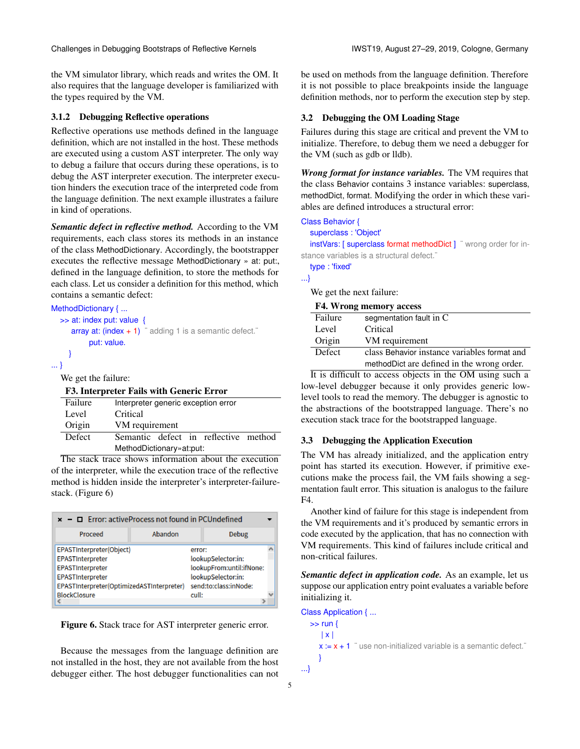the VM simulator library, which reads and writes the OM. It also requires that the language developer is familiarized with the types required by the VM.

#### 3.1.2 Debugging Reflective operations

Reflective operations use methods defined in the language definition, which are not installed in the host. These methods are executed using a custom AST interpreter. The only way to debug a failure that occurs during these operations, is to debug the AST interpreter execution. The interpreter execution hinders the execution trace of the interpreted code from the language definition. The next example illustrates a failure in kind of operations.

*Semantic defect in reflective method.* According to the VM requirements, each class stores its methods in an instance of the class MethodDictionary. Accordingly, the bootstrapper executes the reflective message MethodDictionary » at: put:, defined in the language definition, to store the methods for each class. Let us consider a definition for this method, which contains a semantic defect:

```
MethodDictionary { ...
  >> at: index put: value {
     array at: (index + 1) adding 1 is a semantic defect.
           put: value.
     }
... }
```
We get the failure:

|  |  |  |  |  | F3. Interpreter Fails with Generic Error |  |
|--|--|--|--|--|------------------------------------------|--|
|--|--|--|--|--|------------------------------------------|--|

| Failure       | Interpreter generic exception error  |  |  |  |  |
|---------------|--------------------------------------|--|--|--|--|
| Level         | Critical                             |  |  |  |  |
| Origin        | VM requirement                       |  |  |  |  |
| <b>Defect</b> | Semantic defect in reflective method |  |  |  |  |
|               | MethodDictionary» at:put:            |  |  |  |  |

The stack trace shows information about the execution of the interpreter, while the execution trace of the reflective method is hidden inside the interpreter's interpreter-failurestack. (Figure [6\)](#page-4-0)

<span id="page-4-0"></span>

| $\mathbf{x}$ - $\Box$ Error: activeProcess not found in PCUndefined                                                               |         |        |                                                                                               |  |
|-----------------------------------------------------------------------------------------------------------------------------------|---------|--------|-----------------------------------------------------------------------------------------------|--|
| Proceed                                                                                                                           | Abandon |        | <b>Debug</b>                                                                                  |  |
| EPASTInterpreter(Object)<br>EPASTInterpreter<br>EPASTInterpreter<br>EPASTInterpreter<br>EPASTInterpreter(OptimizedASTInterpreter) |         | error: | lookupSelector:in:<br>lookupFrom:until:ifNone:<br>lookupSelector:in:<br>send:to:class:inNode: |  |
| <b>BlockClosure</b><br>cull:                                                                                                      |         |        |                                                                                               |  |

Figure 6. Stack trace for AST interpreter generic error.

Because the messages from the language definition are not installed in the host, they are not available from the host debugger either. The host debugger functionalities can not

be used on methods from the language definition. Therefore it is not possible to place breakpoints inside the language definition methods, nor to perform the execution step by step.

# 3.2 Debugging the OM Loading Stage

Failures during this stage are critical and prevent the VM to initialize. Therefore, to debug them we need a debugger for the VM (such as gdb or lldb).

*Wrong format for instance variables.* The VM requires that the class Behavior contains 3 instance variables: superclass, methodDict, format. Modifying the order in which these variables are defined introduces a structural error:

Class Behavior {

| superclass: 'Object'                                             |  |
|------------------------------------------------------------------|--|
| instVars: [ superclass format methodDict ] " wrong order for in- |  |

stance variables is a structural defect.

type : 'fixed'

...}

We get the next failure:

| <b>F4. Wrong memory access</b> |                                              |  |  |
|--------------------------------|----------------------------------------------|--|--|
| Failure                        | segmentation fault in C                      |  |  |
| Level                          | Critical                                     |  |  |
| Origin                         | VM requirement                               |  |  |
| <b>Defect</b>                  | class Behavior instance variables format and |  |  |
|                                | methodDict are defined in the wrong order.   |  |  |

It is difficult to access objects in the OM using such a low-level debugger because it only provides generic lowlevel tools to read the memory. The debugger is agnostic to the abstractions of the bootstrapped language. There's no execution stack trace for the bootstrapped language.

## 3.3 Debugging the Application Execution

The VM has already initialized, and the application entry point has started its execution. However, if primitive executions make the process fail, the VM fails showing a segmentation fault error. This situation is analogus to the failure F4.

Another kind of failure for this stage is independent from the VM requirements and it's produced by semantic errors in code executed by the application, that has no connection with VM requirements. This kind of failures include critical and non-critical failures.

*Semantic defect in application code.* As an example, let us suppose our application entry point evaluates a variable before initializing it.

```
Class Application { ...
  \gg run {
     | x |
     x := x + 1 "use non-initialized variable is a semantic defect."
     }
...}
```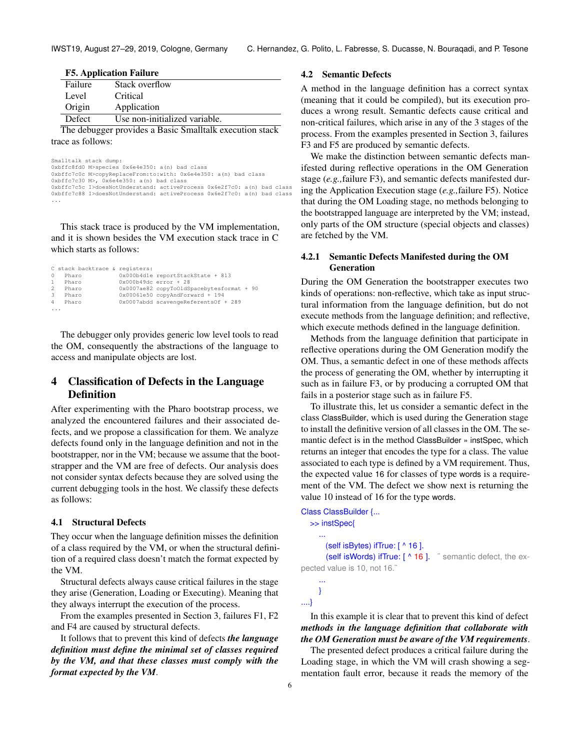F5. Application Failure

| гэ. друпсанон ганшс                                       |                |  |  |  |
|-----------------------------------------------------------|----------------|--|--|--|
| Failure                                                   | Stack overflow |  |  |  |
| Level                                                     | Critical       |  |  |  |
| Origin                                                    | Application    |  |  |  |
| Defect<br>Use non-initialized variable.                   |                |  |  |  |
| The debugger provides a Resign Smalltally execution stock |                |  |  |  |

The debugger provides a Basic Smalltalk execution stack trace as follows:

Smalltalk stack dump: 0xbffc8fd0 M>species 0x6e4e350: a(n) bad class 0xbffc7c0c M>copyReplaceFrom:to:with: 0x6e4e350: a(n) bad class 0xbffc7c30 M>, 0x6e4e350: a(n) bad class 0xbffc7c5c I>doesNotUnderstand: activeProcess 0x6e2f7c0: a(n) bad class 0xbffc7c88 I>doesNotUnderstand: activeProcess 0x6e2f7c0: a(n) bad class ...

This stack trace is produced by the VM implementation, and it is shown besides the VM execution stack trace in C which starts as follows:

|                | C stack backtrace & registers: |                         |                                           |
|----------------|--------------------------------|-------------------------|-------------------------------------------|
| $\circ$        | Pharo                          |                         | 0x000b4d1e reportStackState + 813         |
| $\mathbf{1}$   | Pharo                          | $0x000b49dc error + 28$ |                                           |
| $\overline{2}$ | Pharo                          |                         | 0x0007ae82 copyToOldSpacebytesformat + 90 |
| 3              | Pharo                          |                         | 0x00061e50 copyAndForward + 194           |
| $\overline{4}$ | Pharo                          |                         | 0x0007abdd scavengeReferentsOf + 289      |
| $\cdots$       |                                |                         |                                           |

The debugger only provides generic low level tools to read the OM, consequently the abstractions of the language to access and manipulate objects are lost.

# <span id="page-5-0"></span>4 Classification of Defects in the Language Definition

After experimenting with the Pharo bootstrap process, we analyzed the encountered failures and their associated defects, and we propose a classification for them. We analyze defects found only in the language definition and not in the bootstrapper, nor in the VM; because we assume that the bootstrapper and the VM are free of defects. Our analysis does not consider syntax defects because they are solved using the current debugging tools in the host. We classify these defects as follows:

#### <span id="page-5-1"></span>4.1 Structural Defects

They occur when the language definition misses the definition of a class required by the VM, or when the structural definition of a required class doesn't match the format expected by the VM.

Structural defects always cause critical failures in the stage they arise (Generation, Loading or Executing). Meaning that they always interrupt the execution of the process.

From the examples presented in Section [3,](#page-3-0) failures F1, F2 and F4 are caused by structural defects.

It follows that to prevent this kind of defects *the language definition must define the minimal set of classes required by the VM, and that these classes must comply with the format expected by the VM*.

## 4.2 Semantic Defects

A method in the language definition has a correct syntax (meaning that it could be compiled), but its execution produces a wrong result. Semantic defects cause critical and non-critical failures, which arise in any of the 3 stages of the process. From the examples presented in Section [3,](#page-3-0) failures F3 and F5 are produced by semantic defects.

We make the distinction between semantic defects manifested during reflective operations in the OM Generation stage (*e.g.,*failure F3), and semantic defects manifested during the Application Execution stage (*e.g.,*failure F5). Notice that during the OM Loading stage, no methods belonging to the bootstrapped language are interpreted by the VM; instead, only parts of the OM structure (special objects and classes) are fetched by the VM.

# <span id="page-5-2"></span>4.2.1 Semantic Defects Manifested during the OM Generation

During the OM Generation the bootstrapper executes two kinds of operations: non-reflective, which take as input structural information from the language definition, but do not execute methods from the language definition; and reflective, which execute methods defined in the language definition.

Methods from the language definition that participate in reflective operations during the OM Generation modify the OM. Thus, a semantic defect in one of these methods affects the process of generating the OM, whether by interrupting it such as in failure F3, or by producing a corrupted OM that fails in a posterior stage such as in failure F5.

To illustrate this, let us consider a semantic defect in the class ClassBuilder, which is used during the Generation stage to install the definitive version of all classes in the OM. The semantic defect is in the method ClassBuilder » instSpec, which returns an integer that encodes the type for a class. The value associated to each type is defined by a VM requirement. Thus, the expected value 16 for classes of type words is a requirement of the VM. The defect we show next is returning the value 10 instead of 16 for the type words.

```
Class ClassBuilder {...
  >> instSpec{
     ...
       (self isBytes) ifTrue: [ ^ 16 ].
       (self isWords) ifTrue: [ ^ 16 ]. ¨ semantic defect, the ex-
pected value is 10, not 16.¨
     ...
```

```
}
....}
```
# In this example it is clear that to prevent this kind of defect *methods in the language definition that collaborate with the OM Generation must be aware of the VM requirements*.

The presented defect produces a critical failure during the Loading stage, in which the VM will crash showing a segmentation fault error, because it reads the memory of the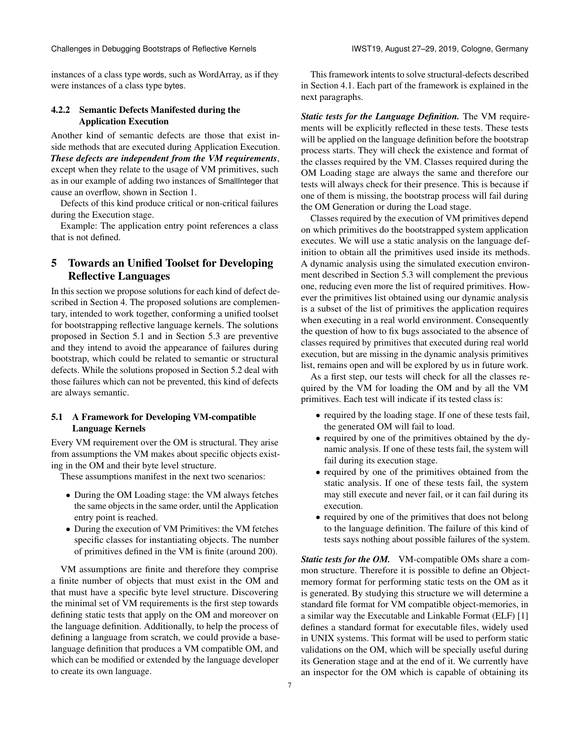instances of a class type words, such as WordArray, as if they were instances of a class type bytes.

# <span id="page-6-2"></span>4.2.2 Semantic Defects Manifested during the Application Execution

Another kind of semantic defects are those that exist inside methods that are executed during Application Execution. *These defects are independent from the VM requirements*, except when they relate to the usage of VM primitives, such as in our example of adding two instances of SmallInteger that cause an overflow, shown in Section [1.](#page-0-0)

Defects of this kind produce critical or non-critical failures during the Execution stage.

Example: The application entry point references a class that is not defined.

# <span id="page-6-0"></span>5 Towards an Unified Toolset for Developing Reflective Languages

In this section we propose solutions for each kind of defect described in Section [4.](#page-5-0) The proposed solutions are complementary, intended to work together, conforming a unified toolset for bootstrapping reflective language kernels. The solutions proposed in Section [5.1](#page-6-1) and in Section [5.3](#page-7-1) are preventive and they intend to avoid the appearance of failures during bootstrap, which could be related to semantic or structural defects. While the solutions proposed in Section [5.2](#page-7-2) deal with those failures which can not be prevented, this kind of defects are always semantic.

# <span id="page-6-1"></span>5.1 A Framework for Developing VM-compatible Language Kernels

Every VM requirement over the OM is structural. They arise from assumptions the VM makes about specific objects existing in the OM and their byte level structure.

These assumptions manifest in the next two scenarios:

- During the OM Loading stage: the VM always fetches the same objects in the same order, until the Application entry point is reached.
- During the execution of VM Primitives: the VM fetches specific classes for instantiating objects. The number of primitives defined in the VM is finite (around 200).

VM assumptions are finite and therefore they comprise a finite number of objects that must exist in the OM and that must have a specific byte level structure. Discovering the minimal set of VM requirements is the first step towards defining static tests that apply on the OM and moreover on the language definition. Additionally, to help the process of defining a language from scratch, we could provide a baselanguage definition that produces a VM compatible OM, and which can be modified or extended by the language developer to create its own language.

This framework intents to solve structural-defects described in Section [4.1.](#page-5-1) Each part of the framework is explained in the next paragraphs.

*Static tests for the Language Definition.* The VM requirements will be explicitly reflected in these tests. These tests will be applied on the language definition before the bootstrap process starts. They will check the existence and format of the classes required by the VM. Classes required during the OM Loading stage are always the same and therefore our tests will always check for their presence. This is because if one of them is missing, the bootstrap process will fail during the OM Generation or during the Load stage.

Classes required by the execution of VM primitives depend on which primitives do the bootstrapped system application executes. We will use a static analysis on the language definition to obtain all the primitives used inside its methods. A dynamic analysis using the simulated execution environment described in Section [5.3](#page-7-1) will complement the previous one, reducing even more the list of required primitives. However the primitives list obtained using our dynamic analysis is a subset of the list of primitives the application requires when executing in a real world environment. Consequently the question of how to fix bugs associated to the absence of classes required by primitives that executed during real world execution, but are missing in the dynamic analysis primitives list, remains open and will be explored by us in future work.

As a first step, our tests will check for all the classes required by the VM for loading the OM and by all the VM primitives. Each test will indicate if its tested class is:

- required by the loading stage. If one of these tests fail, the generated OM will fail to load.
- required by one of the primitives obtained by the dynamic analysis. If one of these tests fail, the system will fail during its execution stage.
- required by one of the primitives obtained from the static analysis. If one of these tests fail, the system may still execute and never fail, or it can fail during its execution.
- required by one of the primitives that does not belong to the language definition. The failure of this kind of tests says nothing about possible failures of the system.

*Static tests for the OM.* VM-compatible OMs share a common structure. Therefore it is possible to define an Objectmemory format for performing static tests on the OM as it is generated. By studying this structure we will determine a standard file format for VM compatible object-memories, in a similar way the Executable and Linkable Format (ELF) [\[1\]](#page-9-6) defines a standard format for executable files, widely used in UNIX systems. This format will be used to perform static validations on the OM, which will be specially useful during its Generation stage and at the end of it. We currently have an inspector for the OM which is capable of obtaining its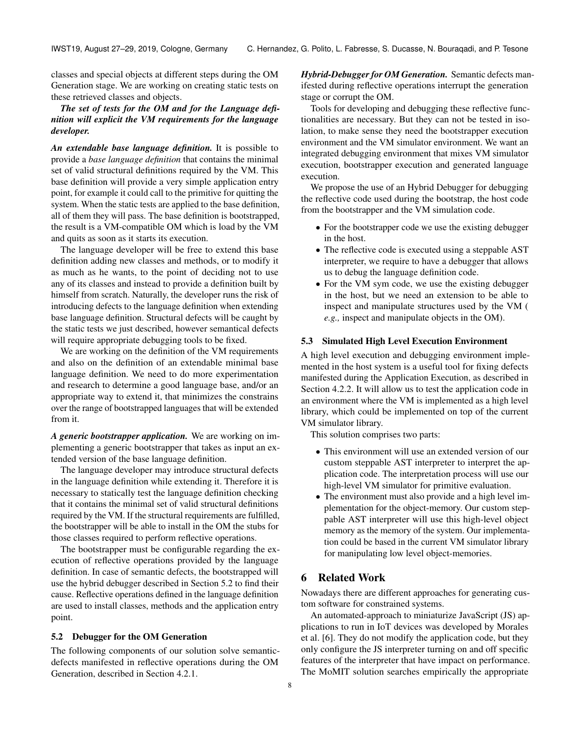classes and special objects at different steps during the OM Generation stage. We are working on creating static tests on these retrieved classes and objects.

# *The set of tests for the OM and for the Language definition will explicit the VM requirements for the language developer.*

*An extendable base language definition.* It is possible to provide a *base language definition* that contains the minimal set of valid structural definitions required by the VM. This base definition will provide a very simple application entry point, for example it could call to the primitive for quitting the system. When the static tests are applied to the base definition, all of them they will pass. The base definition is bootstrapped, the result is a VM-compatible OM which is load by the VM and quits as soon as it starts its execution.

The language developer will be free to extend this base definition adding new classes and methods, or to modify it as much as he wants, to the point of deciding not to use any of its classes and instead to provide a definition built by himself from scratch. Naturally, the developer runs the risk of introducing defects to the language definition when extending base language definition. Structural defects will be caught by the static tests we just described, however semantical defects will require appropriate debugging tools to be fixed.

We are working on the definition of the VM requirements and also on the definition of an extendable minimal base language definition. We need to do more experimentation and research to determine a good language base, and/or an appropriate way to extend it, that minimizes the constrains over the range of bootstrapped languages that will be extended from it.

*A generic bootstrapper application.* We are working on implementing a generic bootstrapper that takes as input an extended version of the base language definition.

The language developer may introduce structural defects in the language definition while extending it. Therefore it is necessary to statically test the language definition checking that it contains the minimal set of valid structural definitions required by the VM. If the structural requirements are fulfilled, the bootstrapper will be able to install in the OM the stubs for those classes required to perform reflective operations.

The bootstrapper must be configurable regarding the execution of reflective operations provided by the language definition. In case of semantic defects, the bootstrapped will use the hybrid debugger described in Section [5.2](#page-7-2) to find their cause. Reflective operations defined in the language definition are used to install classes, methods and the application entry point.

## <span id="page-7-2"></span>5.2 Debugger for the OM Generation

The following components of our solution solve semanticdefects manifested in reflective operations during the OM Generation, described in Section [4.2.1.](#page-5-2)

*Hybrid-Debugger for OM Generation.* Semantic defects manifested during reflective operations interrupt the generation stage or corrupt the OM.

Tools for developing and debugging these reflective functionalities are necessary. But they can not be tested in isolation, to make sense they need the bootstrapper execution environment and the VM simulator environment. We want an integrated debugging environment that mixes VM simulator execution, bootstrapper execution and generated language execution.

We propose the use of an Hybrid Debugger for debugging the reflective code used during the bootstrap, the host code from the bootstrapper and the VM simulation code.

- For the bootstrapper code we use the existing debugger in the host.
- The reflective code is executed using a steppable AST interpreter, we require to have a debugger that allows us to debug the language definition code.
- For the VM sym code, we use the existing debugger in the host, but we need an extension to be able to inspect and manipulate structures used by the VM ( *e.g.,* inspect and manipulate objects in the OM).

#### <span id="page-7-1"></span>5.3 Simulated High Level Execution Environment

A high level execution and debugging environment implemented in the host system is a useful tool for fixing defects manifested during the Application Execution, as described in Section [4.2.2.](#page-6-2) It will allow us to test the application code in an environment where the VM is implemented as a high level library, which could be implemented on top of the current VM simulator library.

This solution comprises two parts:

- This environment will use an extended version of our custom steppable AST interpreter to interpret the application code. The interpretation process will use our high-level VM simulator for primitive evaluation.
- The environment must also provide and a high level implementation for the object-memory. Our custom steppable AST interpreter will use this high-level object memory as the memory of the system. Our implementation could be based in the current VM simulator library for manipulating low level object-memories.

# <span id="page-7-0"></span>6 Related Work

Nowadays there are different approaches for generating custom software for constrained systems.

An automated-approach to miniaturize JavaScript (JS) applications to run in IoT devices was developed by Morales et al. [\[6\]](#page-9-7). They do not modify the application code, but they only configure the JS interpreter turning on and off specific features of the interpreter that have impact on performance. The MoMIT solution searches empirically the appropriate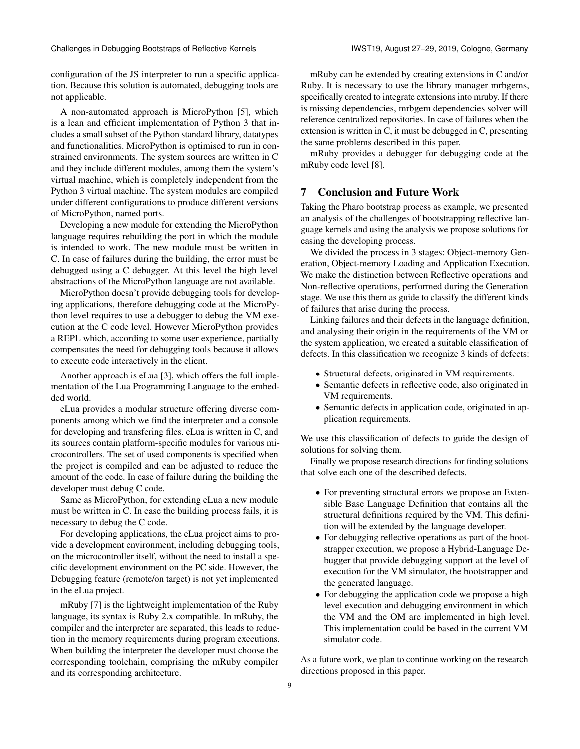configuration of the JS interpreter to run a specific application. Because this solution is automated, debugging tools are not applicable.

A non-automated approach is MicroPython [\[5\]](#page-9-8), which is a lean and efficient implementation of Python 3 that includes a small subset of the Python standard library, datatypes and functionalities. MicroPython is optimised to run in constrained environments. The system sources are written in C and they include different modules, among them the system's virtual machine, which is completely independent from the Python 3 virtual machine. The system modules are compiled under different configurations to produce different versions of MicroPython, named ports.

Developing a new module for extending the MicroPython language requires rebuilding the port in which the module is intended to work. The new module must be written in C. In case of failures during the building, the error must be debugged using a C debugger. At this level the high level abstractions of the MicroPython language are not available.

MicroPython doesn't provide debugging tools for developing applications, therefore debugging code at the MicroPython level requires to use a debugger to debug the VM execution at the C code level. However MicroPython provides a REPL which, according to some user experience, partially compensates the need for debugging tools because it allows to execute code interactively in the client.

Another approach is eLua [\[3\]](#page-9-9), which offers the full implementation of the Lua Programming Language to the embedded world.

eLua provides a modular structure offering diverse components among which we find the interpreter and a console for developing and transfering files. eLua is written in C, and its sources contain platform-specific modules for various microcontrollers. The set of used components is specified when the project is compiled and can be adjusted to reduce the amount of the code. In case of failure during the building the developer must debug C code.

Same as MicroPython, for extending eLua a new module must be written in C. In case the building process fails, it is necessary to debug the C code.

For developing applications, the eLua project aims to provide a development environment, including debugging tools, on the microcontroller itself, without the need to install a specific development environment on the PC side. However, the Debugging feature (remote/on target) is not yet implemented in the eLua project.

mRuby [\[7\]](#page-9-10) is the lightweight implementation of the Ruby language, its syntax is Ruby 2.x compatible. In mRuby, the compiler and the interpreter are separated, this leads to reduction in the memory requirements during program executions. When building the interpreter the developer must choose the corresponding toolchain, comprising the mRuby compiler and its corresponding architecture.

mRuby can be extended by creating extensions in C and/or Ruby. It is necessary to use the library manager mrbgems, specifically created to integrate extensions into mruby. If there is missing dependencies, mrbgem dependencies solver will reference centralized repositories. In case of failures when the extension is written in C, it must be debugged in C, presenting the same problems described in this paper.

mRuby provides a debugger for debugging code at the mRuby code level [\[8\]](#page-9-11).

# <span id="page-8-0"></span>7 Conclusion and Future Work

Taking the Pharo bootstrap process as example, we presented an analysis of the challenges of bootstrapping reflective language kernels and using the analysis we propose solutions for easing the developing process.

We divided the process in 3 stages: Object-memory Generation, Object-memory Loading and Application Execution. We make the distinction between Reflective operations and Non-reflective operations, performed during the Generation stage. We use this them as guide to classify the different kinds of failures that arise during the process.

Linking failures and their defects in the language definition, and analysing their origin in the requirements of the VM or the system application, we created a suitable classification of defects. In this classification we recognize 3 kinds of defects:

- Structural defects, originated in VM requirements.
- Semantic defects in reflective code, also originated in VM requirements.
- Semantic defects in application code, originated in application requirements.

We use this classification of defects to guide the design of solutions for solving them.

Finally we propose research directions for finding solutions that solve each one of the described defects.

- For preventing structural errors we propose an Extensible Base Language Definition that contains all the structural definitions required by the VM. This definition will be extended by the language developer.
- For debugging reflective operations as part of the bootstrapper execution, we propose a Hybrid-Language Debugger that provide debugging support at the level of execution for the VM simulator, the bootstrapper and the generated language.
- For debugging the application code we propose a high level execution and debugging environment in which the VM and the OM are implemented in high level. This implementation could be based in the current VM simulator code.

As a future work, we plan to continue working on the research directions proposed in this paper.